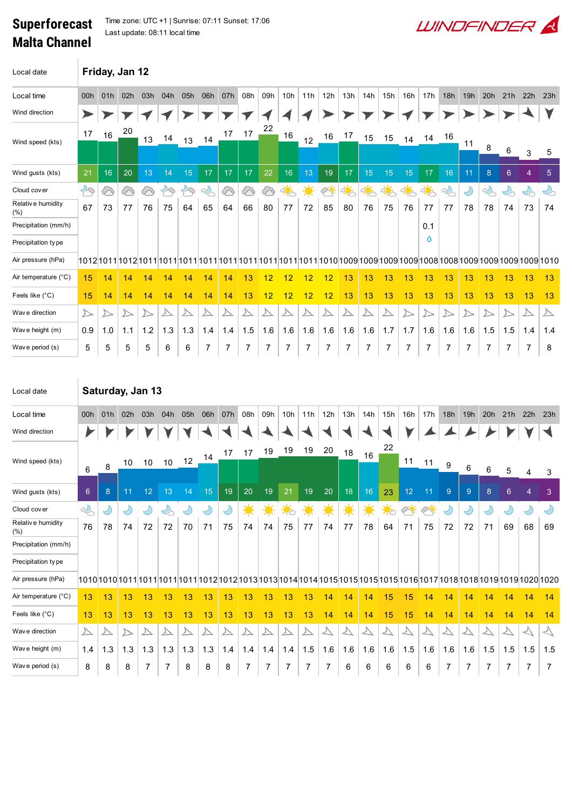## Superforecast Malta Channel

 $\overline{1}$ 

Time zone: UTC +1 | Sunrise: 07:11 Sunset: 17:06 Last update: 08:11 local time

| Local date                   | Friday, Jan 12   |     |                  |                  |     |               |        |     |     |     |            |     |                         |               |                  |     |                      |               |     |                  |        |                |                                   |                  |
|------------------------------|------------------|-----|------------------|------------------|-----|---------------|--------|-----|-----|-----|------------|-----|-------------------------|---------------|------------------|-----|----------------------|---------------|-----|------------------|--------|----------------|-----------------------------------|------------------|
| Local time                   | 00h              | 01h | 02h              | 03h              | 04h | 05h           | 06h    | 07h | 08h | 09h | 10h        | 11h | 12h                     | 13h           | 14h              | 15h | 16h                  | 17h           | 18h | 19h              | 20h    | 21h            | 22h                               | 23h              |
| Wind direction               | ➤                |     |                  |                  |     |               |        |     |     |     |            |     |                         |               |                  |     |                      |               |     |                  |        |                |                                   |                  |
| Wind speed (kts)             | 17               | 16  | 20               | 13               | 14  | 13            | 14     | 17  | 17  | 22  | 16         | 12  | 16                      | 17            | 15               | 15  | 14                   | 14            | 16  |                  |        |                |                                   |                  |
|                              |                  |     |                  |                  |     |               |        |     |     |     |            |     |                         |               |                  |     |                      |               |     | 11               | 8      | 6              | 3                                 | 5                |
| Wind gusts (kts)             | 21               | 16  | 20               | 13               | 14  | 15            | 17     | 17  | 17  | 22  | 16         | 13  | 19                      | 17            | 15               | 15  | 15                   | 17            | 16  | 11               | 8      | $6\phantom{1}$ | $\overline{4}$                    | 5 <sub>5</sub>   |
| Cloud cover                  | $\bigoplus$      | ⊗   | ⊗                | 6                | 29  | $\mathcal{B}$ | $\sim$ | ⊗   | ⊗   | 6   | <u>ं ं</u> | 美   | Ä.                      | $\frac{1}{2}$ | कं               | ्रि | $\frac{1}{\sqrt{2}}$ | $\frac{1}{2}$ | 2   | $\bigcirc$       | $\sim$ | $\gamma$       | $\mathcal{L}_{\circlearrowright}$ | $\mathcal{S}$    |
| Relative humidity<br>$(\% )$ | 67               | 73  | 77               | 76               | 75  | 64            | 65     | 64  | 66  | 80  | 77         | 72  | 85                      | 80            | 76               | 75  | 76                   | 77            | 77  | 78               | 78     | 74             | 73                                | 74               |
| Precipitation (mm/h)         |                  |     |                  |                  |     |               |        |     |     |     |            |     |                         |               |                  |     |                      | 0.1           |     |                  |        |                |                                   |                  |
| Precipitation type           |                  |     |                  |                  |     |               |        |     |     |     |            |     |                         |               |                  |     |                      | Ô             |     |                  |        |                |                                   |                  |
| Air pressure (hPa)           |                  |     |                  |                  |     |               |        |     |     |     |            |     |                         |               |                  |     |                      |               |     |                  |        |                |                                   |                  |
| Air temperature (°C)         | 15               | 14  | 14               | 14               | 14  | 14            | 14     | 14  | 13  | 12  | 12         | 12  | 12                      | 13            | 13               | 13  | 13                   | 13            | 13  | 13               | 13     | 13             | 13                                | 13               |
| Feels like (°C)              | 15               | 14  | 14               | 14               | 14  | 14            | 14     | 14  | 13  | 12  | 12         | 12  | 12                      | 13            | 13               | 13  | 13                   | 13            | 13  | 13               | 13     | 13             | 13                                | 13               |
| Wav e direction              | $\triangleright$ | ∠   | $\triangleright$ | $\triangleright$ | △   | △             | △      | △   | ∆   |     |            |     | $\overline{\mathbb{A}}$ |               | $\triangleright$ |     | ▷                    |               |     | $\triangleright$ | >>     |                | $\triangleright$                  | $\triangleright$ |
| Wave height (m)              | 0.9              | 1.0 | 1.1              | 1.2              | 1.3 | 1.3           | 1.4    | 1.4 | 1.5 | 1.6 | 1.6        | 1.6 | 1.6                     | 1.6           | 1.6              | 1.7 | 1.7                  | 1.6           | 1.6 | 1.6              | 1.5    | 1.5            | 1.4                               | 1.4              |
| Wave period (s)              | 5                | 5   | 5                | 5                | 6   | 6             |        |     |     |     |            | 7   |                         |               |                  |     |                      |               |     |                  |        |                | 7                                 | 8                |
|                              |                  |     |                  |                  |     |               |        |     |     |     |            |     |                         |               |                  |     |                      |               |     |                  |        |                |                                   |                  |
|                              |                  |     |                  |                  |     |               |        |     |     |     |            |     |                         |               |                  |     |                      |               |     |                  |        |                |                                   |                  |

**WINDFINDER** 

| Local date                |               | Saturday, Jan 13 |     |                  |                            |            |     |                         |                          |     |                  |     |               |                             |     |                                      |                  |           |                |                |     |     |                |         |
|---------------------------|---------------|------------------|-----|------------------|----------------------------|------------|-----|-------------------------|--------------------------|-----|------------------|-----|---------------|-----------------------------|-----|--------------------------------------|------------------|-----------|----------------|----------------|-----|-----|----------------|---------|
| Local time                | 00h           | 01h              | 02h | 03h              | 04h                        | 05h        | 06h | 07h                     | 08h                      | 09h | 10h              | 11h | 12h           | 13h                         | 14h | 15h                                  | 16h              | 17h       | 18h            | 19h            | 20h | 21h | 22h            | 23h     |
| Wind direction            |               |                  |     |                  |                            |            |     |                         |                          |     |                  |     |               |                             |     |                                      |                  |           |                |                |     |     |                |         |
| Wind speed (kts)          | 6             | 8                | 10  | 10               | 10 <sup>°</sup>            | 12         | 14  | 17                      | 17                       | 19  | 19               | 19  | 20            | 18                          | 16  | 22                                   | 11               | 11        | 9              | 6              | 6   | 5   | 4              | 3       |
| Wind gusts (kts)          | 6             | 8                | 11  | 12               | 13                         | 14         | 15  | 19                      | 20                       | 19  | 21               | 19  | 20            | 18                          | 16  | 23                                   | 12 <sub>2</sub>  | 11        | $\overline{9}$ | $\overline{9}$ | 8   | 6   | $\overline{4}$ | 3       |
| Cloud cover               | $\frac{1}{2}$ |                  |     | ປ                | $\mathcal{L}_{\mathbb{C}}$ | $\bigcirc$ | V   | Y                       | 美                        | 美   | $\ddot{\bullet}$ | 美   | $\frac{1}{2}$ | 美                           | 美   | $\ddot{\bullet}_{\circlearrowright}$ | بنجاح            | $\oslash$ | Ľ              | D              | D   |     | D              |         |
| Relative humidity<br>(% ) | 76            | 78               | 74  | 72               | 72                         | 70         | 71  | 75                      | 74                       | 74  | 75               | 77  | 74            | 77                          | 78  | 64                                   | 71               | 75        | 72             | 72             | 71  | 69  | 68             | 69      |
| Precipitation (mm/h)      |               |                  |     |                  |                            |            |     |                         |                          |     |                  |     |               |                             |     |                                      |                  |           |                |                |     |     |                |         |
| Precipitation type        |               |                  |     |                  |                            |            |     |                         |                          |     |                  |     |               |                             |     |                                      |                  |           |                |                |     |     |                |         |
| Air pressure (hPa)        |               |                  |     |                  |                            |            |     |                         |                          |     |                  |     |               |                             |     |                                      |                  |           |                |                |     |     |                |         |
| Air temperature (°C)      | 13            | 13               | 13  | 13               | 13                         | 13         | 13  | 13                      | 13                       | 13  | 13               | 13  | 14            | 14                          | 14  | 15                                   | 15               | 14        | 14             | 14             | 14  | 14  | 14             | 14      |
| Feels like (°C)           | 13            | 13               | 13  | 13               | 13                         | 13         | 13  | 13                      | 13                       | 13  | 13               | 13  | 14            | 14                          | 14  | 15                                   | 15               | 14        | 14             | 14             | 14  | 14  | 14             | 14      |
| Wav e direction           | △             |                  | ▷   | $\triangleright$ |                            | △          |     | $\overline{\mathbb{A}}$ | $\overline{\mathcal{V}}$ | △   |                  | △   | △             | $\overline{\triangleright}$ | △   |                                      | $\triangleright$ |           |                | $\Delta$       |     |     | $\prec$        | $\prec$ |
| Wave height (m)           | 1.4           | 1.3              | 1.3 | 1.3              | 1.3                        | 1.3        | 1.3 | 1.4                     | 1.4                      | 1.4 | 1.4              | 1.5 | 1.6           | 1.6                         | 1.6 | 1.6                                  | 1.5              | 1.6       | 1.6            | 1.6            | 1.5 | 1.5 | 1.5            | 1.5     |
| Wave period (s)           | 8             | 8                | 8   |                  |                            | 8          | 8   | 8                       | 7                        |     |                  | 7   | 7             | 6                           | 6   | 6                                    | 6                | 6         | 7              | 7              |     |     | 7              |         |